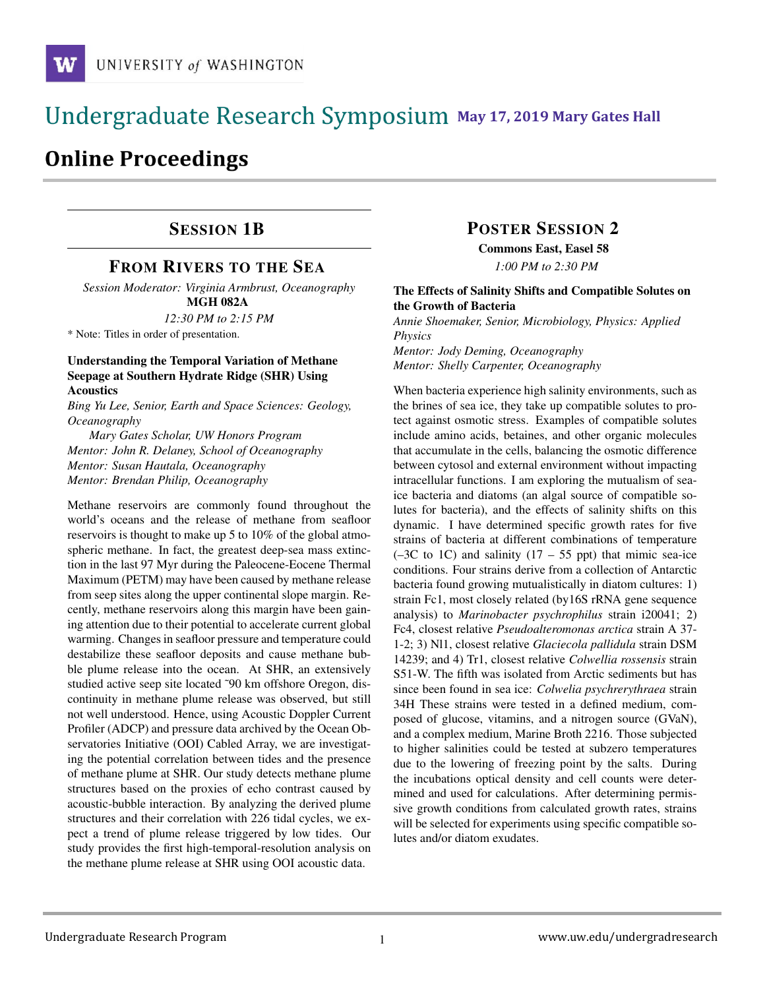# **May 17, 2019 Mary Gates Hall** Ĭ

# **Online Proceedings**

### SESSION 1B

### FROM RIVERS TO THE SEA

*Session Moderator: Virginia Armbrust, Oceanography* MGH 082A

*12:30 PM to 2:15 PM*

\* Note: Titles in order of presentation.

#### Understanding the Temporal Variation of Methane Seepage at Southern Hydrate Ridge (SHR) Using Acoustics

*Bing Yu Lee, Senior, Earth and Space Sciences: Geology, Oceanography*

*Mary Gates Scholar, UW Honors Program Mentor: John R. Delaney, School of Oceanography Mentor: Susan Hautala, Oceanography Mentor: Brendan Philip, Oceanography*

Methane reservoirs are commonly found throughout the world's oceans and the release of methane from seafloor reservoirs is thought to make up 5 to 10% of the global atmospheric methane. In fact, the greatest deep-sea mass extinction in the last 97 Myr during the Paleocene-Eocene Thermal Maximum (PETM) may have been caused by methane release from seep sites along the upper continental slope margin. Recently, methane reservoirs along this margin have been gaining attention due to their potential to accelerate current global warming. Changes in seafloor pressure and temperature could destabilize these seafloor deposits and cause methane bubble plume release into the ocean. At SHR, an extensively studied active seep site located ~90 km offshore Oregon, discontinuity in methane plume release was observed, but still not well understood. Hence, using Acoustic Doppler Current Profiler (ADCP) and pressure data archived by the Ocean Observatories Initiative (OOI) Cabled Array, we are investigating the potential correlation between tides and the presence of methane plume at SHR. Our study detects methane plume structures based on the proxies of echo contrast caused by acoustic-bubble interaction. By analyzing the derived plume structures and their correlation with 226 tidal cycles, we expect a trend of plume release triggered by low tides. Our study provides the first high-temporal-resolution analysis on the methane plume release at SHR using OOI acoustic data.

### POSTER SESSION 2

Commons East, Easel 58 *1:00 PM to 2:30 PM*

#### The Effects of Salinity Shifts and Compatible Solutes on the Growth of Bacteria

*Annie Shoemaker, Senior, Microbiology, Physics: Applied Physics*

*Mentor: Jody Deming, Oceanography Mentor: Shelly Carpenter, Oceanography*

When bacteria experience high salinity environments, such as the brines of sea ice, they take up compatible solutes to protect against osmotic stress. Examples of compatible solutes include amino acids, betaines, and other organic molecules that accumulate in the cells, balancing the osmotic difference between cytosol and external environment without impacting intracellular functions. I am exploring the mutualism of seaice bacteria and diatoms (an algal source of compatible solutes for bacteria), and the effects of salinity shifts on this dynamic. I have determined specific growth rates for five strains of bacteria at different combinations of temperature  $(-3C$  to 1C) and salinity  $(17 - 55$  ppt) that mimic sea-ice conditions. Four strains derive from a collection of Antarctic bacteria found growing mutualistically in diatom cultures: 1) strain Fc1, most closely related (by16S rRNA gene sequence analysis) to *Marinobacter psychrophilus* strain i20041; 2) Fc4, closest relative *Pseudoalteromonas arctica* strain A 37- 1-2; 3) Nl1, closest relative *Glaciecola pallidula* strain DSM 14239; and 4) Tr1, closest relative *Colwellia rossensis* strain S51-W. The fifth was isolated from Arctic sediments but has since been found in sea ice: *Colwelia psychrerythraea* strain 34H These strains were tested in a defined medium, composed of glucose, vitamins, and a nitrogen source (GVaN), and a complex medium, Marine Broth 2216. Those subjected to higher salinities could be tested at subzero temperatures due to the lowering of freezing point by the salts. During the incubations optical density and cell counts were determined and used for calculations. After determining permissive growth conditions from calculated growth rates, strains will be selected for experiments using specific compatible solutes and/or diatom exudates.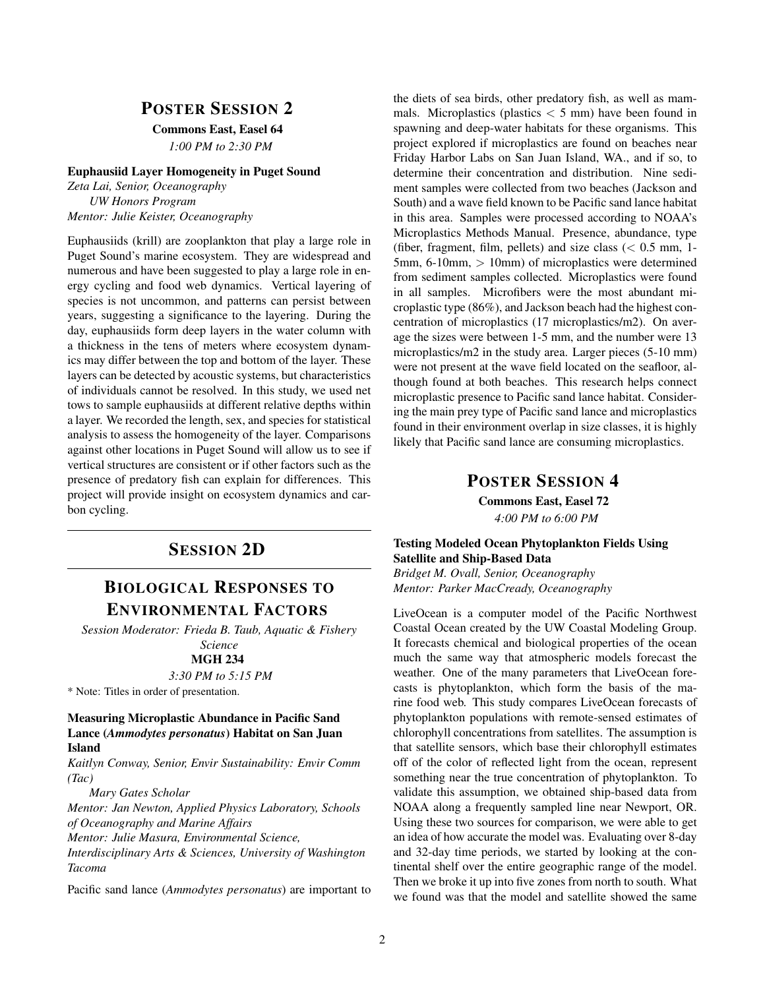### POSTER SESSION 2

Commons East, Easel 64

*1:00 PM to 2:30 PM*

#### Euphausiid Layer Homogeneity in Puget Sound

*Zeta Lai, Senior, Oceanography UW Honors Program Mentor: Julie Keister, Oceanography*

Euphausiids (krill) are zooplankton that play a large role in Puget Sound's marine ecosystem. They are widespread and numerous and have been suggested to play a large role in energy cycling and food web dynamics. Vertical layering of species is not uncommon, and patterns can persist between years, suggesting a significance to the layering. During the day, euphausiids form deep layers in the water column with a thickness in the tens of meters where ecosystem dynamics may differ between the top and bottom of the layer. These layers can be detected by acoustic systems, but characteristics of individuals cannot be resolved. In this study, we used net tows to sample euphausiids at different relative depths within a layer. We recorded the length, sex, and species for statistical analysis to assess the homogeneity of the layer. Comparisons against other locations in Puget Sound will allow us to see if vertical structures are consistent or if other factors such as the presence of predatory fish can explain for differences. This project will provide insight on ecosystem dynamics and carbon cycling.

### SESSION 2D

## BIOLOGICAL RESPONSES TO ENVIRONMENTAL FACTORS

*Session Moderator: Frieda B. Taub, Aquatic & Fishery Science* MGH 234

*3:30 PM to 5:15 PM*

\* Note: Titles in order of presentation.

#### Measuring Microplastic Abundance in Pacific Sand Lance (*Ammodytes personatus*) Habitat on San Juan Island

*Kaitlyn Conway, Senior, Envir Sustainability: Envir Comm (Tac)*

*Mary Gates Scholar*

*Mentor: Jan Newton, Applied Physics Laboratory, Schools of Oceanography and Marine Affairs Mentor: Julie Masura, Environmental Science, Interdisciplinary Arts & Sciences, University of Washington*

*Tacoma*

Pacific sand lance (*Ammodytes personatus*) are important to

the diets of sea birds, other predatory fish, as well as mammals. Microplastics (plastics  $\langle 5 \text{ mm} \rangle$  have been found in spawning and deep-water habitats for these organisms. This project explored if microplastics are found on beaches near Friday Harbor Labs on San Juan Island, WA., and if so, to determine their concentration and distribution. Nine sediment samples were collected from two beaches (Jackson and South) and a wave field known to be Pacific sand lance habitat in this area. Samples were processed according to NOAA's Microplastics Methods Manual. Presence, abundance, type (fiber, fragment, film, pellets) and size class  $(< 0.5$  mm, 1-5mm, 6-10mm, > 10mm) of microplastics were determined from sediment samples collected. Microplastics were found in all samples. Microfibers were the most abundant microplastic type (86%), and Jackson beach had the highest concentration of microplastics (17 microplastics/m2). On average the sizes were between 1-5 mm, and the number were 13 microplastics/m2 in the study area. Larger pieces (5-10 mm) were not present at the wave field located on the seafloor, although found at both beaches. This research helps connect microplastic presence to Pacific sand lance habitat. Considering the main prey type of Pacific sand lance and microplastics found in their environment overlap in size classes, it is highly likely that Pacific sand lance are consuming microplastics.

### POSTER SESSION 4

Commons East, Easel 72 *4:00 PM to 6:00 PM*

#### Testing Modeled Ocean Phytoplankton Fields Using Satellite and Ship-Based Data

*Bridget M. Ovall, Senior, Oceanography Mentor: Parker MacCready, Oceanography*

LiveOcean is a computer model of the Pacific Northwest Coastal Ocean created by the UW Coastal Modeling Group. It forecasts chemical and biological properties of the ocean much the same way that atmospheric models forecast the weather. One of the many parameters that LiveOcean forecasts is phytoplankton, which form the basis of the marine food web. This study compares LiveOcean forecasts of phytoplankton populations with remote-sensed estimates of chlorophyll concentrations from satellites. The assumption is that satellite sensors, which base their chlorophyll estimates off of the color of reflected light from the ocean, represent something near the true concentration of phytoplankton. To validate this assumption, we obtained ship-based data from NOAA along a frequently sampled line near Newport, OR. Using these two sources for comparison, we were able to get an idea of how accurate the model was. Evaluating over 8-day and 32-day time periods, we started by looking at the continental shelf over the entire geographic range of the model. Then we broke it up into five zones from north to south. What we found was that the model and satellite showed the same